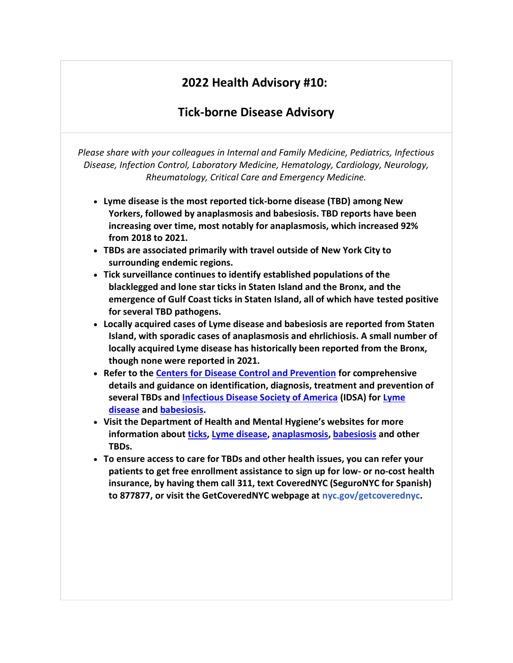# **2022 Health Advisory #10:**

# **Tick-borne Disease Advisory**

*Please share with your colleagues in Internal and Family Medicine, Pediatrics, Infectious Disease, Infection Control, Laboratory Medicine, Hematology, Cardiology, Neurology, Rheumatology, Critical Care and Emergency Medicine.*

- **Lyme disease is the most reported tick-borne disease (TBD) among New Yorkers, followed by anaplasmosis and babesiosis. TBD reports have been increasing over time, most notably for anaplasmosis, which increased 92% from 2018 to 2021.**
- **TBDs are associated primarily with travel outside of New York City to surrounding endemic regions.**
- **Tick surveillance continues to identify established populations of the blacklegged and lone star ticks in Staten Island and the Bronx, and the emergence of Gulf Coast ticks in Staten Island, all of which have tested positive for several TBD pathogens.**
- **Locally acquired cases of Lyme disease and babesiosis are reported from Staten Island, with sporadic cases of anaplasmosis and ehrlichiosis. A small number of locally acquired Lyme disease has historically been reported from the Bronx, though none were reported in 2021.**
- **Refer to the [Centers for Disease Control and Prevention](http://go.pardot.com/e/944933/s-tickbornediseases-index-html/h8jb2/117140482?h=A1zLem2cxLyHEIpmfpoARiVKWDxfyOV3lIvluW83Cm0) for comprehensive details and guidance on identification, diagnosis, treatment and prevention of several TBDs and [Infectious Disease Society of America](http://go.pardot.com/e/944933/idelines----0-date-na-dt-desc-/h8jb5/117140482?h=A1zLem2cxLyHEIpmfpoARiVKWDxfyOV3lIvluW83Cm0) (IDSA) for [Lyme](http://go.pardot.com/e/944933/actice-guideline-lyme-disease-/h8jb8/117140482?h=A1zLem2cxLyHEIpmfpoARiVKWDxfyOV3lIvluW83Cm0)  [disease](http://go.pardot.com/e/944933/actice-guideline-lyme-disease-/h8jb8/117140482?h=A1zLem2cxLyHEIpmfpoARiVKWDxfyOV3lIvluW83Cm0) and [babesiosis.](http://go.pardot.com/e/944933/practice-guideline-babesiosis-/h8jbc/117140482?h=A1zLem2cxLyHEIpmfpoARiVKWDxfyOV3lIvluW83Cm0)**
- **Visit the Department of Health and Mental Hygiene's websites for more information about [ticks,](http://go.pardot.com/e/944933/ealth-health-topics-ticks-page/h8jbg/117140482?h=A1zLem2cxLyHEIpmfpoARiVKWDxfyOV3lIvluW83Cm0) [Lyme disease,](http://go.pardot.com/e/944933/ealth-topics-lyme-disease-page/h8jbk/117140482?h=A1zLem2cxLyHEIpmfpoARiVKWDxfyOV3lIvluW83Cm0) [anaplasmosis,](http://go.pardot.com/e/944933/ealth-topics-anaplasmosis-page/h8jbn/117140482?h=A1zLem2cxLyHEIpmfpoARiVKWDxfyOV3lIvluW83Cm0) [babesiosis](http://go.pardot.com/e/944933/-health-topics-babesiosis-page/h8jbr/117140482?h=A1zLem2cxLyHEIpmfpoARiVKWDxfyOV3lIvluW83Cm0) and other TBDs.**
- **To ensure access to care for TBDs and other health issues, you can refer your patients to get free enrollment assistance to sign up for low- or no-cost health insurance, by having them call 311, text CoveredNYC (SeguroNYC for Spanish) to 877877, or visit the GetCoveredNYC webpage at [nyc.gov/getcoverednyc.](http://nyc.gov/getcoverednyc)**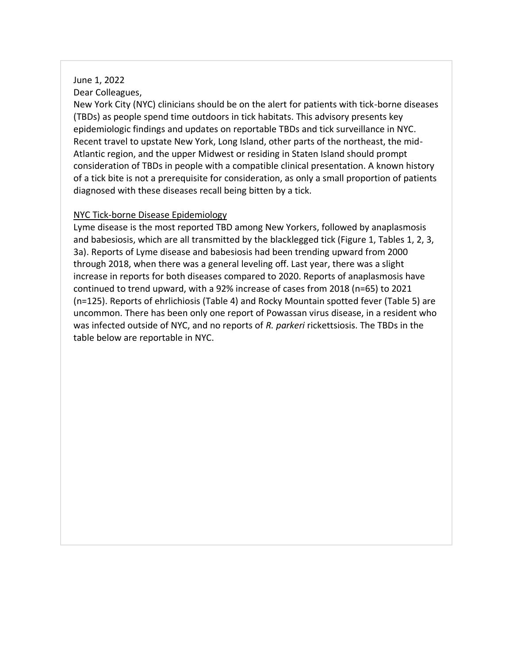### June 1, 2022 Dear Colleagues,

New York City (NYC) clinicians should be on the alert for patients with tick-borne diseases (TBDs) as people spend time outdoors in tick habitats. This advisory presents key epidemiologic findings and updates on reportable TBDs and tick surveillance in NYC. Recent travel to upstate New York, Long Island, other parts of the northeast, the mid-Atlantic region, and the upper Midwest or residing in Staten Island should prompt consideration of TBDs in people with a compatible clinical presentation. A known history of a tick bite is not a prerequisite for consideration, as only a small proportion of patients diagnosed with these diseases recall being bitten by a tick.

### NYC Tick-borne Disease Epidemiology

Lyme disease is the most reported TBD among New Yorkers, followed by anaplasmosis and babesiosis, which are all transmitted by the blacklegged tick (Figure 1, Tables 1, 2, 3, 3a). Reports of Lyme disease and babesiosis had been trending upward from 2000 through 2018, when there was a general leveling off. Last year, there was a slight increase in reports for both diseases compared to 2020. Reports of anaplasmosis have continued to trend upward, with a 92% increase of cases from 2018 (n=65) to 2021 (n=125). Reports of ehrlichiosis (Table 4) and Rocky Mountain spotted fever (Table 5) are uncommon. There has been only one report of Powassan virus disease, in a resident who was infected outside of NYC, and no reports of *R. parkeri* rickettsiosis. The TBDs in the table below are reportable in NYC.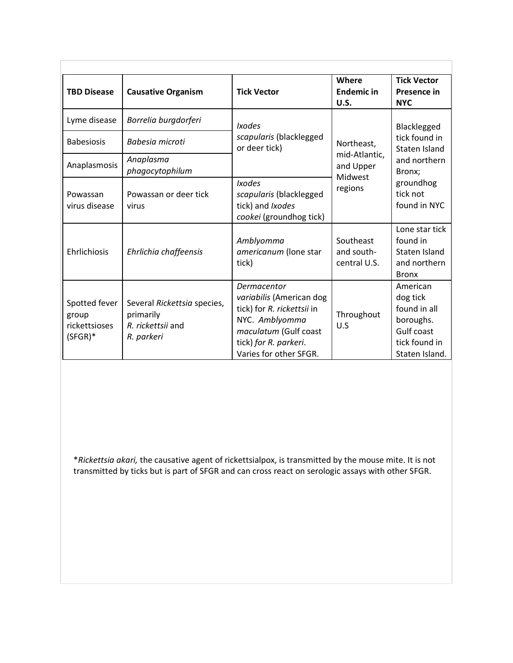| <b>TBD Disease</b>                                    | <b>Causative Organism</b>                                                   | <b>Tick Vector</b>                                                                                                                                                  | Where<br><b>Endemic in</b><br><b>U.S.</b> | <b>Tick Vector</b><br>Presence in<br><b>NYC</b>                                                    |  |  |
|-------------------------------------------------------|-----------------------------------------------------------------------------|---------------------------------------------------------------------------------------------------------------------------------------------------------------------|-------------------------------------------|----------------------------------------------------------------------------------------------------|--|--|
| Lyme disease                                          | Borrelia burgdorferi                                                        | <b>Ixodes</b><br>scapularis (blacklegged                                                                                                                            |                                           | Blacklegged<br>tick found in                                                                       |  |  |
| <b>Babesiosis</b>                                     | Babesia microti                                                             | or deer tick)                                                                                                                                                       | Northeast,                                | Staten Island                                                                                      |  |  |
| Anaplasmosis                                          | Anaplasma<br>phagocytophilum                                                |                                                                                                                                                                     | mid-Atlantic,<br>and Upper<br>Midwest     | and northern<br>Bronx;                                                                             |  |  |
| Powassan<br>virus disease                             | Powassan or deer tick<br>virus                                              | <b>Ixodes</b><br>scapularis (blacklegged<br>tick) and Ixodes<br>cookei (groundhog tick)                                                                             | regions                                   | groundhog<br>tick not<br>found in NYC                                                              |  |  |
| Ehrlichiosis                                          | Ehrlichia chaffeensis                                                       | Amblyomma<br>americanum (Ione star<br>tick)                                                                                                                         | Southeast<br>and south-<br>central U.S.   | Lone star tick<br>found in<br>Staten Island<br>and northern<br><b>Bronx</b>                        |  |  |
| Spotted fever<br>group<br>rickettsioses<br>$(SFGR)^*$ | Several Rickettsia species,<br>primarily<br>R. rickettsii and<br>R. parkeri | Dermacentor<br>variabilis (American dog<br>tick) for R. rickettsii in<br>NYC. Amblyomma<br>maculatum (Gulf coast<br>tick) for R. parkeri.<br>Varies for other SFGR. | Throughout<br>U.S                         | American<br>dog tick<br>found in all<br>boroughs.<br>Gulf coast<br>tick found in<br>Staten Island. |  |  |

\**Rickettsia akari,* the causative agent of rickettsialpox, is transmitted by the mouse mite. It is not transmitted by ticks but is part of SFGR and can cross react on serologic assays with other SFGR.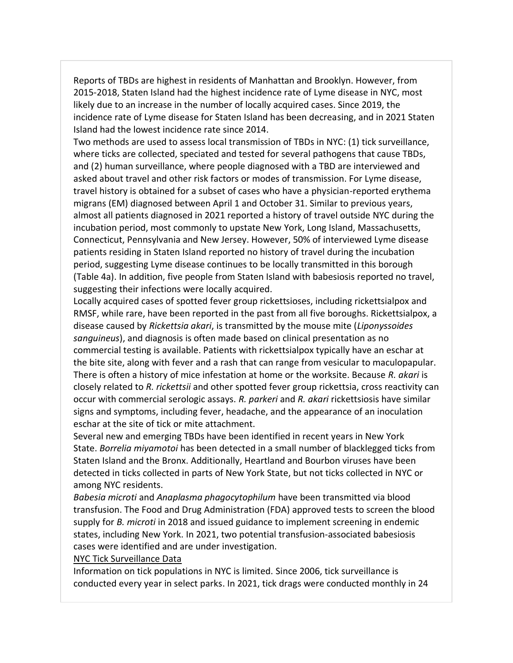Reports of TBDs are highest in residents of Manhattan and Brooklyn. However, from 2015-2018, Staten Island had the highest incidence rate of Lyme disease in NYC, most likely due to an increase in the number of locally acquired cases. Since 2019, the incidence rate of Lyme disease for Staten Island has been decreasing, and in 2021 Staten Island had the lowest incidence rate since 2014.

Two methods are used to assess local transmission of TBDs in NYC: (1) tick surveillance, where ticks are collected, speciated and tested for several pathogens that cause TBDs, and (2) human surveillance, where people diagnosed with a TBD are interviewed and asked about travel and other risk factors or modes of transmission. For Lyme disease, travel history is obtained for a subset of cases who have a physician-reported erythema migrans (EM) diagnosed between April 1 and October 31. Similar to previous years, almost all patients diagnosed in 2021 reported a history of travel outside NYC during the incubation period, most commonly to upstate New York, Long Island, Massachusetts, Connecticut, Pennsylvania and New Jersey. However, 50% of interviewed Lyme disease patients residing in Staten Island reported no history of travel during the incubation period, suggesting Lyme disease continues to be locally transmitted in this borough (Table 4a). In addition, five people from Staten Island with babesiosis reported no travel, suggesting their infections were locally acquired.

Locally acquired cases of spotted fever group rickettsioses, including rickettsialpox and RMSF, while rare, have been reported in the past from all five boroughs. Rickettsialpox, a disease caused by *Rickettsia akari*, is transmitted by the mouse mite (*Liponyssoides sanguineus*), and diagnosis is often made based on clinical presentation as no commercial testing is available. Patients with rickettsialpox typically have an eschar at the bite site, along with fever and a rash that can range from vesicular to maculopapular. There is often a history of mice infestation at home or the worksite. Because *R. akari* is closely related to *R. rickettsii* and other spotted fever group rickettsia, cross reactivity can occur with commercial serologic assays. *R. parkeri* and *R. akari* rickettsiosis have similar signs and symptoms, including fever, headache, and the appearance of an inoculation eschar at the site of tick or mite attachment.

Several new and emerging TBDs have been identified in recent years in New York State. *Borrelia miyamotoi* has been detected in a small number of blacklegged ticks from Staten Island and the Bronx. Additionally, Heartland and Bourbon viruses have been detected in ticks collected in parts of New York State, but not ticks collected in NYC or among NYC residents.

*Babesia microti* and *Anaplasma phagocytophilum* have been transmitted via blood transfusion. The Food and Drug Administration (FDA) approved tests to screen the blood supply for *B. microti* in 2018 and issued guidance to implement screening in endemic states, including New York. In 2021, two potential transfusion-associated babesiosis cases were identified and are under investigation.

#### NYC Tick Surveillance Data

Information on tick populations in NYC is limited. Since 2006, tick surveillance is conducted every year in select parks. In 2021, tick drags were conducted monthly in 24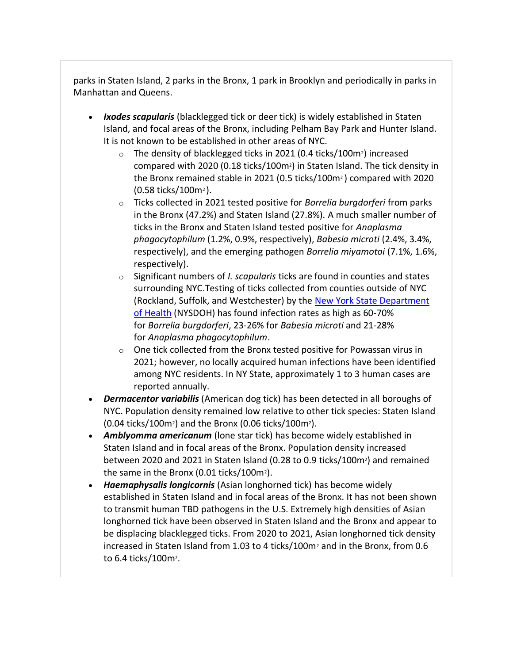parks in Staten Island, 2 parks in the Bronx, 1 park in Brooklyn and periodically in parks in Manhattan and Queens.

- *Ixodes scapularis* (blacklegged tick or deer tick) is widely established in Staten Island, and focal areas of the Bronx, including Pelham Bay Park and Hunter Island. It is not known to be established in other areas of NYC.
	- o The density of blacklegged ticks in 2021 (0.4 ticks/100m2) increased compared with 2020 (0.18 ticks/100m2) in Staten Island. The tick density in the Bronx remained stable in 2021 (0.5 ticks/100m<sup>2</sup> ) compared with 2020 (0.58 ticks/100m<sup>2</sup> ).
	- o Ticks collected in 2021 tested positive for *Borrelia burgdorferi* from parks in the Bronx (47.2%) and Staten Island (27.8%)*.* A much smaller number of ticks in the Bronx and Staten Island tested positive for *Anaplasma phagocytophilum* (1.2%, 0.9%, respectively), *Babesia microti* (2.4%, 3.4%, respectively), and the emerging pathogen *Borrelia miyamotoi* (7.1%, 1.6%, respectively).
	- o Significant numbers of *I. scapularis* ticks are found in counties and states surrounding NYC.Testing of ticks collected from counties outside of NYC (Rockland, Suffolk, and Westchester) by the [New York State Department](http://go.pardot.com/e/944933/ion-Data-by-County-E-fkdr-6a5t/h8jbv/117140482?h=A1zLem2cxLyHEIpmfpoARiVKWDxfyOV3lIvluW83Cm0)  [of Health](http://go.pardot.com/e/944933/ion-Data-by-County-E-fkdr-6a5t/h8jbv/117140482?h=A1zLem2cxLyHEIpmfpoARiVKWDxfyOV3lIvluW83Cm0) (NYSDOH) has found infection rates as high as 60-70% for *Borrelia burgdorferi*, 23-26% for *Babesia microti* and 21-28% for *Anaplasma phagocytophilum*.
	- o One tick collected from the Bronx tested positive for Powassan virus in 2021; however, no locally acquired human infections have been identified among NYC residents. In NY State, approximately 1 to 3 human cases are reported annually.
- *Dermacentor variabilis* (American dog tick) has been detected in all boroughs of NYC. Population density remained low relative to other tick species: Staten Island (0.04 ticks/100m2) and the Bronx (0.06 ticks/100m2).
- *Amblyomma americanum* (lone star tick) has become widely established in Staten Island and in focal areas of the Bronx. Population density increased between 2020 and 2021 in Staten Island (0.28 to 0.9 ticks/100m2) and remained the same in the Bronx  $(0.01$  ticks/100m<sup>2</sup>).
- *Haemaphysalis longicornis* (Asian longhorned tick) has become widely established in Staten Island and in focal areas of the Bronx. It has not been shown to transmit human TBD pathogens in the U.S. Extremely high densities of Asian longhorned tick have been observed in Staten Island and the Bronx and appear to be displacing blacklegged ticks. From 2020 to 2021, Asian longhorned tick density increased in Staten Island from 1.03 to 4 ticks/100m<sup>2</sup> and in the Bronx, from 0.6 to 6.4 ticks/100m<sup>2</sup>.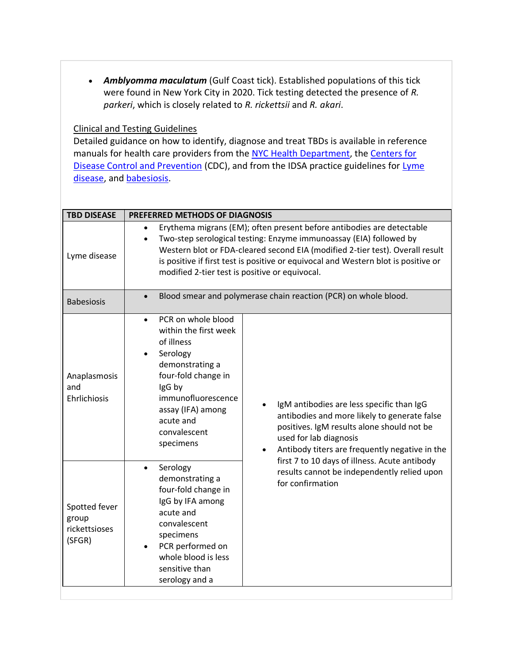• *Amblyomma maculatum* (Gulf Coast tick). Established populations of this tick were found in New York City in 2020. Tick testing detected the presence of *R. parkeri*, which is closely related to *R. rickettsii* and *R. akari*.

### Clinical and Testing Guidelines

Detailed guidance on how to identify, diagnose and treat TBDs is available in reference manuals for health care providers from the [NYC Health Department,](http://go.pardot.com/e/944933/hs-tick-borne-dx-physician-pdf/h8jby/117140482?h=A1zLem2cxLyHEIpmfpoARiVKWDxfyOV3lIvluW83Cm0) the Centers for [Disease Control and Prevention](http://go.pardot.com/e/944933/s-tickbornediseases-index-html/h8jb2/117140482?h=A1zLem2cxLyHEIpmfpoARiVKWDxfyOV3lIvluW83Cm0) (CDC), and from the IDSA practice guidelines for [Lyme](http://go.pardot.com/e/944933/actice-guideline-lyme-disease-/h8jb8/117140482?h=A1zLem2cxLyHEIpmfpoARiVKWDxfyOV3lIvluW83Cm0)  [disease,](http://go.pardot.com/e/944933/actice-guideline-lyme-disease-/h8jb8/117140482?h=A1zLem2cxLyHEIpmfpoARiVKWDxfyOV3lIvluW83Cm0) and [babesiosis](http://go.pardot.com/e/944933/practice-guideline-babesiosis-/h8jbc/117140482?h=A1zLem2cxLyHEIpmfpoARiVKWDxfyOV3lIvluW83Cm0).

| <b>TBD DISEASE</b>                                | PREFERRED METHODS OF DIAGNOSIS                                                                                                                                                                                                                                                                                                                                                                                                                     |
|---------------------------------------------------|----------------------------------------------------------------------------------------------------------------------------------------------------------------------------------------------------------------------------------------------------------------------------------------------------------------------------------------------------------------------------------------------------------------------------------------------------|
| Lyme disease                                      | Erythema migrans (EM); often present before antibodies are detectable<br>$\bullet$<br>Two-step serological testing: Enzyme immunoassay (EIA) followed by<br>$\bullet$<br>Western blot or FDA-cleared second EIA (modified 2-tier test). Overall result<br>is positive if first test is positive or equivocal and Western blot is positive or<br>modified 2-tier test is positive or equivocal.                                                     |
| <b>Babesiosis</b>                                 | Blood smear and polymerase chain reaction (PCR) on whole blood.<br>$\bullet$                                                                                                                                                                                                                                                                                                                                                                       |
| Anaplasmosis<br>and<br>Ehrlichiosis               | PCR on whole blood<br>within the first week<br>of illness<br>Serology<br>demonstrating a<br>four-fold change in<br>IgG by<br>immunofluorescence<br>IgM antibodies are less specific than IgG<br>assay (IFA) among<br>antibodies and more likely to generate false<br>acute and<br>positives. IgM results alone should not be<br>convalescent<br>used for lab diagnosis<br>specimens<br>Antibody titers are frequently negative in the<br>$\bullet$ |
| Spotted fever<br>group<br>rickettsioses<br>(SFGR) | first 7 to 10 days of illness. Acute antibody<br>Serology<br>results cannot be independently relied upon<br>demonstrating a<br>for confirmation<br>four-fold change in<br>IgG by IFA among<br>acute and<br>convalescent<br>specimens<br>PCR performed on<br>whole blood is less<br>sensitive than<br>serology and a                                                                                                                                |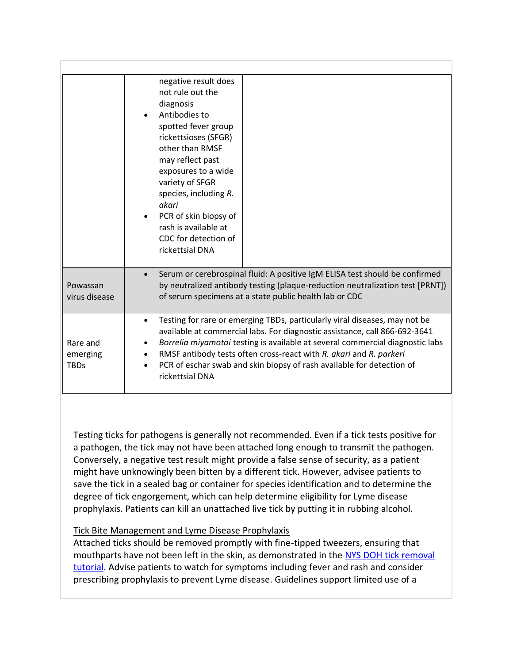|                                     | negative result does<br>not rule out the<br>diagnosis<br>Antibodies to<br>spotted fever group<br>rickettsioses (SFGR)<br>other than RMSF<br>may reflect past<br>exposures to a wide<br>variety of SFGR<br>species, including R.<br>akari<br>PCR of skin biopsy of<br>rash is available at<br>CDC for detection of<br>rickettsial DNA                                                                                     |
|-------------------------------------|--------------------------------------------------------------------------------------------------------------------------------------------------------------------------------------------------------------------------------------------------------------------------------------------------------------------------------------------------------------------------------------------------------------------------|
| Powassan<br>virus disease           | Serum or cerebrospinal fluid: A positive IgM ELISA test should be confirmed<br>$\bullet$<br>by neutralized antibody testing (plaque-reduction neutralization test [PRNT])<br>of serum specimens at a state public health lab or CDC                                                                                                                                                                                      |
| Rare and<br>emerging<br><b>TBDs</b> | Testing for rare or emerging TBDs, particularly viral diseases, may not be<br>$\bullet$<br>available at commercial labs. For diagnostic assistance, call 866-692-3641<br>Borrelia miyamotoi testing is available at several commercial diagnostic labs<br>RMSF antibody tests often cross-react with R. akari and R. parkeri<br>PCR of eschar swab and skin biopsy of rash available for detection of<br>rickettsial DNA |

Testing ticks for pathogens is generally not recommended. Even if a tick tests positive for a pathogen, the tick may not have been attached long enough to transmit the pathogen. Conversely, a negative test result might provide a false sense of security, as a patient might have unknowingly been bitten by a different tick. However, advisee patients to save the tick in a sealed bag or container for species identification and to determine the degree of tick engorgement, which can help determine eligibility for Lyme disease prophylaxis. Patients can kill an unattached live tick by putting it in rubbing alcohol.

### Tick Bite Management and Lyme Disease Prophylaxis

Attached ticks should be removed promptly with fine-tipped tweezers, ensuring that mouthparts have not been left in the skin, as demonstrated in the [NYS DOH tick removal](http://go.pardot.com/e/944933/watch-v-oGrK4ZKUfhQ/h8jc2/117140482?h=A1zLem2cxLyHEIpmfpoARiVKWDxfyOV3lIvluW83Cm0)  [tutorial.](http://go.pardot.com/e/944933/watch-v-oGrK4ZKUfhQ/h8jc2/117140482?h=A1zLem2cxLyHEIpmfpoARiVKWDxfyOV3lIvluW83Cm0) Advise patients to watch for symptoms including fever and rash and consider prescribing prophylaxis to prevent Lyme disease. Guidelines support limited use of a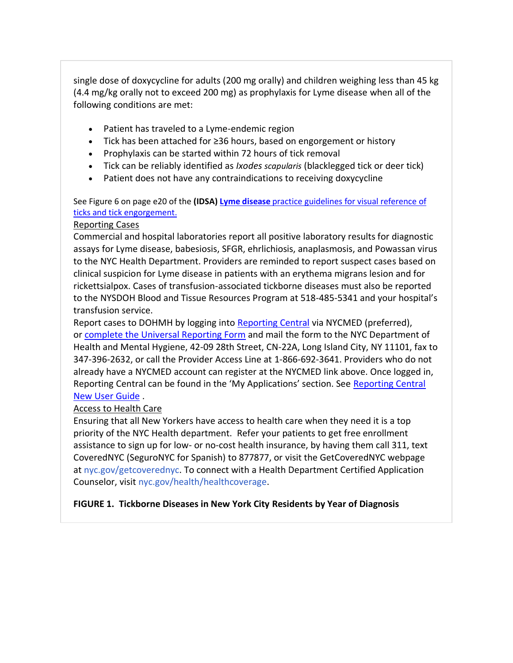single dose of doxycycline for adults (200 mg orally) and children weighing less than 45 kg (4.4 mg/kg orally not to exceed 200 mg) as prophylaxis for Lyme disease when all of the following conditions are met:

- Patient has traveled to a Lyme-endemic region
- Tick has been attached for ≥36 hours, based on engorgement or history
- Prophylaxis can be started within 72 hours of tick removal
- Tick can be reliably identified as *Ixodes scapularis* (blacklegged tick or deer tick)
- Patient does not have any contraindications to receiving doxycycline

See Figure 6 on page e20 of the **(IDSA) [Lyme disease](http://go.pardot.com/e/944933/actice-guideline-lyme-disease-/h8jb8/117140482?h=A1zLem2cxLyHEIpmfpoARiVKWDxfyOV3lIvluW83Cm0)** practice guidelines for visual reference of ticks and tick engorgement.

### Reporting Cases

Commercial and hospital laboratories report all positive laboratory results for diagnostic assays for Lyme disease, babesiosis, SFGR, ehrlichiosis, anaplasmosis, and Powassan virus to the NYC Health Department. Providers are reminded to report suspect cases based on clinical suspicion for Lyme disease in patients with an erythema migrans lesion and for rickettsialpox. Cases of transfusion-associated tickborne diseases must also be reported to the NYSDOH Blood and Tissue Resources Program at 518-485-5341 and your hospital's transfusion service.

Report cases to DOHMH by logging into [Reporting Central](http://go.pardot.com/e/944933/NYCMED-Account-Login/h8jc5/117140482?h=A1zLem2cxLyHEIpmfpoARiVKWDxfyOV3lIvluW83Cm0) via NYCMED (preferred), or [complete the Universal Reporting Form](http://go.pardot.com/e/944933/downloads-pdf-hcp-urf-0803-pdf/h8jc8/117140482?h=A1zLem2cxLyHEIpmfpoARiVKWDxfyOV3lIvluW83Cm0) and mail the form to the NYC Department of Health and Mental Hygiene, 42-09 28th Street, CN-22A, Long Island City, NY 11101, fax to 347-396-2632, or call the Provider Access Line at 1-866-692-3641. Providers who do not already have a NYCMED account can register at the NYCMED link above. Once logged in, [Reporting Central](http://go.pardot.com/e/944933/ing-central-new-user-guide-pdf/h8jcc/117140482?h=A1zLem2cxLyHEIpmfpoARiVKWDxfyOV3lIvluW83Cm0) can be found in the 'My Applications' section. See Reporting Central [New User Guide](http://go.pardot.com/e/944933/ing-central-new-user-guide-pdf/h8jcc/117140482?h=A1zLem2cxLyHEIpmfpoARiVKWDxfyOV3lIvluW83Cm0) .

### Access to Health Care

Ensuring that all New Yorkers have access to health care when they need it is a top priority of the NYC Health department. Refer your patients to get free enrollment assistance to sign up for low- or no-cost health insurance, by having them call 311, text CoveredNYC (SeguroNYC for Spanish) to 877877, or visit the GetCoveredNYC webpage at [nyc.gov/getcoverednyc.](http://nyc.gov/getcoverednyc) To connect with a Health Department Certified Application Counselor, visit [nyc.gov/health/healthcoverage.](http://nyc.gov/health/healthcoverage)

### **FIGURE 1. Tickborne Diseases in New York City Residents by Year of Diagnosis**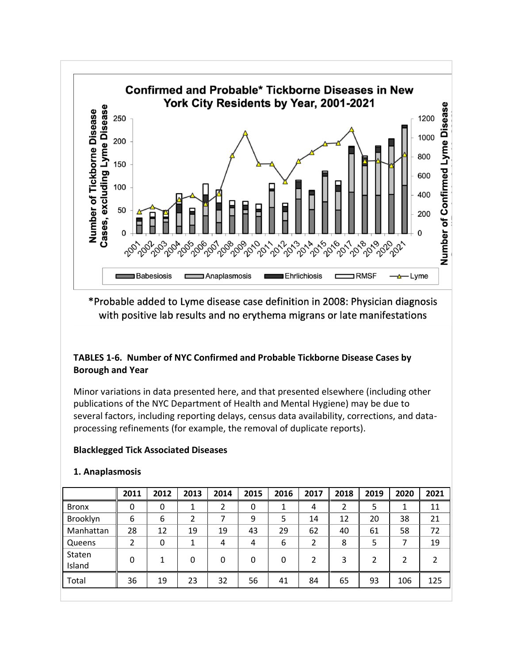

\*Probable added to Lyme disease case definition in 2008: Physician diagnosis with positive lab results and no erythema migrans or late manifestations

## **TABLES 1-6. Number of NYC Confirmed and Probable Tickborne Disease Cases by Borough and Year**

Minor variations in data presented here, and that presented elsewhere (including other publications of the NYC Department of Health and Mental Hygiene) may be due to several factors, including reporting delays, census data availability, corrections, and dataprocessing refinements (for example, the removal of duplicate reports).

### **Blacklegged Tick Associated Diseases**

| 1. Anaplasmosis |  |
|-----------------|--|
|                 |  |

|                  | 2011 | 2012 | 2013 | 2014 | 2015 | 2016 | 2017           | 2018 | 2019 | 2020 | 2021 |
|------------------|------|------|------|------|------|------|----------------|------|------|------|------|
| <b>Bronx</b>     | 0    | 0    |      | 2    | 0    |      | 4              | 2    | 5    | 1    | 11   |
| Brooklyn         | 6    | 6    | 2    |      | 9    | 5    | 14             | 12   | 20   | 38   | 21   |
| Manhattan        | 28   | 12   | 19   | 19   | 43   | 29   | 62             | 40   | 61   | 58   | 72   |
| Queens           | 2    | 0    | 1    | 4    | 4    | 6    | $\overline{2}$ | 8    | 5    | 7    | 19   |
| Staten<br>Island | 0    | 1    | 0    | 0    | 0    | 0    | $\mathfrak z$  | 3    | 2    | 2    |      |
| Total            | 36   | 19   | 23   | 32   | 56   | 41   | 84             | 65   | 93   | 106  | 125  |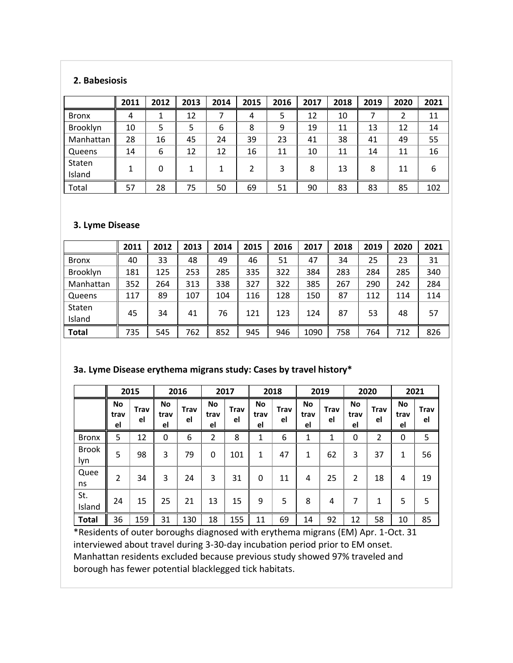### **2. Babesiosis**

|              | 2011 | 2012 | 2013 | 2014 | 2015 | 2016 | 2017 | 2018 | 2019 | 2020 | 2021 |
|--------------|------|------|------|------|------|------|------|------|------|------|------|
| <b>Bronx</b> | 4    |      | 12   |      | 4    | 5    | 12   | 10   |      | 2    | 11   |
| Brooklyn     | 10   | 5    | 5    | 6    | 8    | 9    | 19   | 11   | 13   | 12   | 14   |
| Manhattan    | 28   | 16   | 45   | 24   | 39   | 23   | 41   | 38   | 41   | 49   | 55   |
| Queens       | 14   | 6    | 12   | 12   | 16   | 11   | 10   | 11   | 14   | 11   | 16   |
| Staten       | 1    | 0    | 1    | 1    | 2    | 3    | 8    | 13   | 8    | 11   | 6    |
| Island       |      |      |      |      |      |      |      |      |      |      |      |
| Total        | 57   | 28   | 75   | 50   | 69   | 51   | 90   | 83   | 83   | 85   | 102  |

### **3. Lyme Disease**

|              | 2011 | 2012 | 2013 | 2014 | 2015 | 2016 | 2017 | 2018 | 2019 | 2020 | 2021 |
|--------------|------|------|------|------|------|------|------|------|------|------|------|
| <b>Bronx</b> | 40   | 33   | 48   | 49   | 46   | 51   | 47   | 34   | 25   | 23   | 31   |
| Brooklyn     | 181  | 125  | 253  | 285  | 335  | 322  | 384  | 283  | 284  | 285  | 340  |
| Manhattan    | 352  | 264  | 313  | 338  | 327  | 322  | 385  | 267  | 290  | 242  | 284  |
| Queens       | 117  | 89   | 107  | 104  | 116  | 128  | 150  | 87   | 112  | 114  | 114  |
| Staten       | 45   | 34   | 41   | 76   | 121  | 123  | 124  | 87   | 53   | 48   | 57   |
| Island       |      |      |      |      |      |      |      |      |      |      |      |
| <b>Total</b> | 735  | 545  | 762  | 852  | 945  | 946  | 1090 | 758  | 764  | 712  | 826  |

## **3a. Lyme Disease erythema migrans study: Cases by travel history\***

|                     |                  | 2015       |                         | 2016       |                         | 2017              |                  | 2018       |                  | 2019              |                  | 2020              | 2021             |            |
|---------------------|------------------|------------|-------------------------|------------|-------------------------|-------------------|------------------|------------|------------------|-------------------|------------------|-------------------|------------------|------------|
|                     | No<br>trav<br>el | Trav<br>el | <b>No</b><br>trav<br>el | Trav<br>el | <b>No</b><br>trav<br>el | <b>Trav</b><br>el | No<br>trav<br>el | Trav<br>el | No<br>trav<br>el | <b>Trav</b><br>el | No<br>trav<br>el | <b>Trav</b><br>el | No<br>trav<br>el | Trav<br>el |
| <b>Bronx</b>        | 5                | 12         | 0                       | 6          | $\overline{2}$          | 8                 | $\mathbf{1}$     | 6          | 1                | 1                 | 0                | 2                 | 0                | 5          |
| <b>Brook</b><br>lyn | 5                | 98         | 3                       | 79         | 0                       | 101               | 1                | 47         | 1                | 62                | 3                | 37                | 1                | 56         |
| Quee<br>ns          | 2                | 34         | 3                       | 24         | 3                       | 31                | 0                | 11         | 4                | 25                | $\overline{2}$   | 18                | 4                | 19         |
| St.<br>Island       | 24               | 15         | 25                      | 21         | 13                      | 15                | 9                | 5          | 8                | 4                 | 7                | 1                 | 5                | 5          |
| <b>Total</b>        | 36               | 159        | 31                      | 130        | 18                      | 155               | 11               | 69         | 14               | 92                | 12               | 58                | 10               | 85         |

\*Residents of outer boroughs diagnosed with erythema migrans (EM) Apr. 1-Oct. 31 interviewed about travel during 3-30-day incubation period prior to EM onset. Manhattan residents excluded because previous study showed 97% traveled and borough has fewer potential blacklegged tick habitats.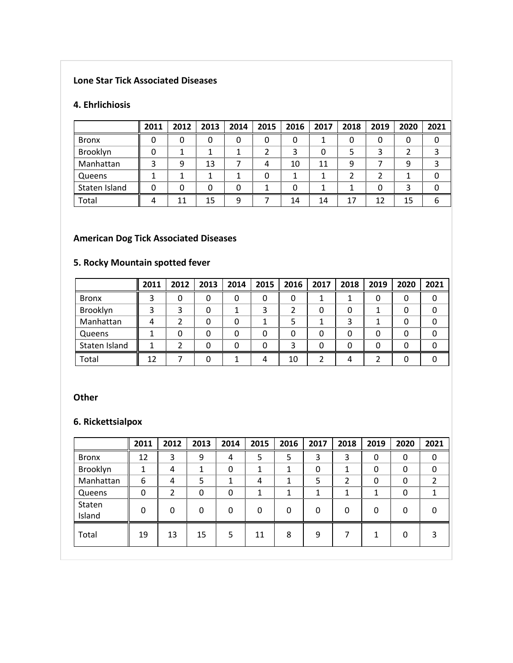# **Lone Star Tick Associated Diseases**

#### **4. Ehrlichiosis**

|               | 2011 | 2012 | 2013 | 2014 | 2015 | 2016 | 2017 | 2018 | 2019 | 2020 | 2021 |
|---------------|------|------|------|------|------|------|------|------|------|------|------|
| <b>Bronx</b>  | 0    | 0    |      |      | 0    | 0    |      |      |      | 0    |      |
| Brooklyn      | 0    |      |      |      | 2    | 3    | 0    |      |      |      |      |
| Manhattan     | 3    | 9    | 13   |      | 4    | 10   | 11   | q    |      | 9    |      |
| Queens        | 1    |      |      |      | 0    |      |      |      |      |      |      |
| Staten Island | 0    | 0    |      |      |      | 0    |      |      |      | 3    |      |
| Total         | 4    | 11   | 15   | 9    |      | 14   | 14   | 17   | 12   | 15   |      |

## **American Dog Tick Associated Diseases**

# **5. Rocky Mountain spotted fever**

|               | 2011 | 2012 | 2013 | 2014 | 2015 | 2016 | 2017 | 2018 | 2019 | 2020 | 2021 |
|---------------|------|------|------|------|------|------|------|------|------|------|------|
| <b>Bronx</b>  | 3    |      | 0    | 0    | 0    | 0    |      |      | 0    | 0    |      |
| Brooklyn      | 3    |      | 0    |      | 3    |      |      |      |      | 0    |      |
| Manhattan     | 4    |      | 0    | 0    |      | 5    |      |      |      | 0    |      |
| Queens        |      |      | 0    | 0    | 0    | 0    |      |      | 0    | 0    |      |
| Staten Island |      |      | 0    | 0    | 0    | 3    |      |      | 0    | 0    |      |
| Total         | 12   |      | O    |      | 4    | 10   |      |      |      | O    |      |

### **Other**

# **6. Rickettsialpox**

|                  | 2011     | 2012 | 2013     | 2014         | 2015 | 2016 | 2017     | 2018 | 2019        | 2020 | 2021 |
|------------------|----------|------|----------|--------------|------|------|----------|------|-------------|------|------|
| <b>Bronx</b>     | 12       | 3    | 9        | 4            | 5    | 5    | 3        | 3    | 0           | 0    | 0    |
| Brooklyn         | 1        | 4    | 1        | $\mathbf{0}$ | 1    |      | 0        | 1    | $\mathbf 0$ | 0    |      |
| Manhattan        | 6        | 4    | 5        | 1            | 4    |      | 5        | 2    | 0           | 0    | າ    |
| Queens           | 0        | 2    | 0        | 0            |      |      |          | 1    | 1           | 0    |      |
| Staten<br>Island | $\Omega$ | 0    | $\Omega$ | 0            | 0    | O    | $\Omega$ | 0    | $\Omega$    | 0    |      |
| Total            | 19       | 13   | 15       | 5            | 11   | 8    | 9        |      |             | 0    |      |